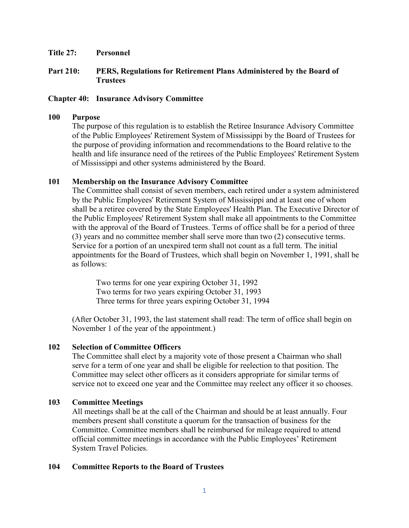#### **Title 27: Personnel**

# **Part 210: PERS, Regulations for Retirement Plans Administered by the Board of Trustees**

## **Chapter 40: Insurance Advisory Committee**

## **100 Purpose**

The purpose of this regulation is to establish the Retiree Insurance Advisory Committee of the Public Employees' Retirement System of Mississippi by the Board of Trustees for the purpose of providing information and recommendations to the Board relative to the health and life insurance need of the retirees of the Public Employees' Retirement System of Mississippi and other systems administered by the Board.

## **101 Membership on the Insurance Advisory Committee**

The Committee shall consist of seven members, each retired under a system administered by the Public Employees' Retirement System of Mississippi and at least one of whom shall be a retiree covered by the State Employees' Health Plan. The Executive Director of the Public Employees' Retirement System shall make all appointments to the Committee with the approval of the Board of Trustees. Terms of office shall be for a period of three (3) years and no committee member shall serve more than two (2) consecutive terms. Service for a portion of an unexpired term shall not count as a full term. The initial appointments for the Board of Trustees, which shall begin on November 1, 1991, shall be as follows:

Two terms for one year expiring October 31, 1992 Two terms for two years expiring October 31, 1993 Three terms for three years expiring October 31, 1994

(After October 31, 1993, the last statement shall read: The term of office shall begin on November 1 of the year of the appointment.)

## **102 Selection of Committee Officers**

The Committee shall elect by a majority vote of those present a Chairman who shall serve for a term of one year and shall be eligible for reelection to that position. The Committee may select other officers as it considers appropriate for similar terms of service not to exceed one year and the Committee may reelect any officer it so chooses.

## **103 Committee Meetings**

All meetings shall be at the call of the Chairman and should be at least annually. Four members present shall constitute a quorum for the transaction of business for the Committee. Committee members shall be reimbursed for mileage required to attend official committee meetings in accordance with the Public Employees' Retirement System Travel Policies.

## **104 Committee Reports to the Board of Trustees**